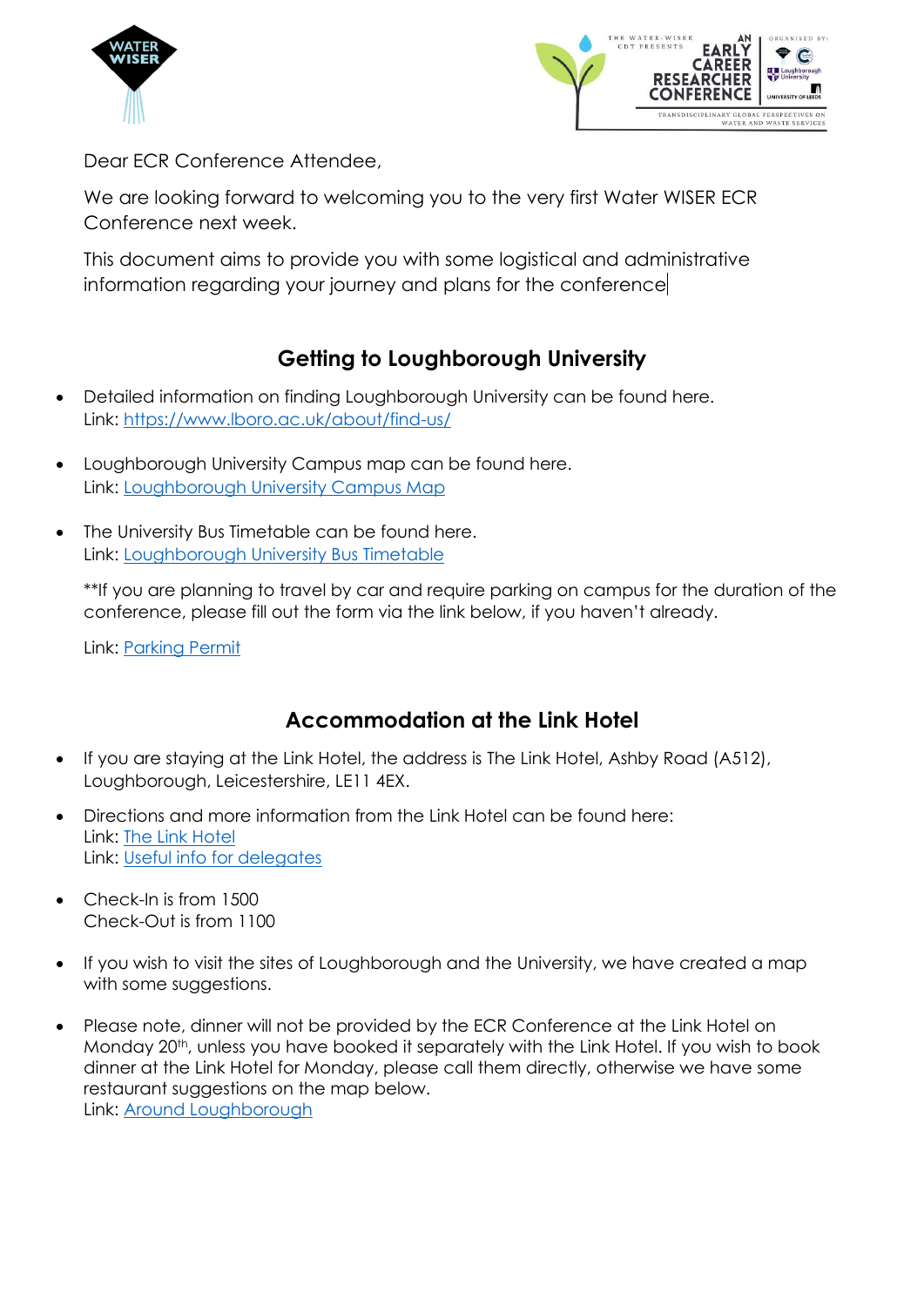



Dear ECR Conference Attendee,

We are looking forward to welcoming you to the very first Water WISER ECR Conference next week.

This document aims to provide you with some logistical and administrative information regarding your journey and plans for the conference

# **Getting to Loughborough University**

- Detailed information on finding Loughborough University can be found here. Link:<https://www.lboro.ac.uk/about/find-us/>
- Loughborough University Campus map can be found here. Link: [Loughborough University Campus Map](https://www.lboro.ac.uk/media/wwwlboroacuk/external/content/abouttheuniversity/downloads/campus-map.pdf)
- The University Bus Timetable can be found here. Link: [Loughborough University Bus Timetable](https://www.kinchbus.co.uk/services/sprint/timetable)

\*\*If you are planning to travel by car and require parking on campus for the duration of the conference, please fill out the form via the link below, if you haven't already.

Link: [Parking Permit](https://forms.office.com/Pages/ResponsePage.aspx?id=wE8mz7iun0SQVILORFQIS8AGvP32JD5MgN54G4-jQtJUQjZXNlJQN1dMUE9SOVQ0OENQVjFNVFZWRi4u) 

## **Accommodation at the Link Hotel**

- If you are staying at the Link Hotel, the address is The Link Hotel, Ashby Road (A512), Loughborough, Leicestershire, LE11 4EX.
- Directions and more information from the Link Hotel can be found here: Link: [The Link Hotel](https://www.linkhotelloughborough.co.uk/location/) Link: [Useful info for delegates](https://drive.google.com/file/d/1QkeT_nDqAyDXh1OmjhjawRfOEtdrkdSa/view?usp=sharing)
- Check-In is from 1500 Check-Out is from 1100
- If you wish to visit the sites of Loughborough and the University, we have created a map with some suggestions.
- Please note, dinner will not be provided by the ECR Conference at the Link Hotel on Monday 20<sup>th</sup>, unless you have booked it separately with the Link Hotel. If you wish to book dinner at the Link Hotel for Monday, please call them directly, otherwise we have some restaurant suggestions on the map below. Link: [Around Loughborough](https://www.google.com/maps/d/u/0/viewer?mid=10TzVoR9_RVkyT84vpYqb6wjv-XBibM0&ll=52.733671457493955%2C-1.224328099999994&z=12)